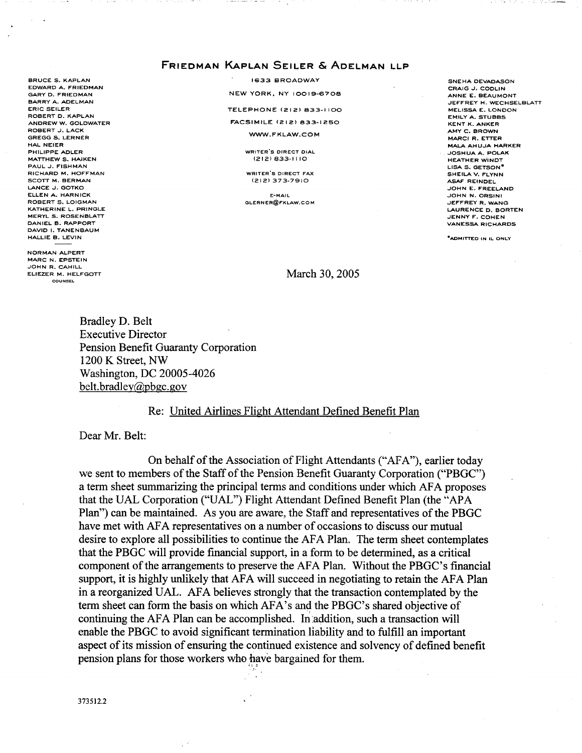## .<br>Friedman Kaplan Seiler & Adelman llp

**BRUCE S. KAPLAN** EDWARD A. FRIEDMAN GARY D. FRIEDMAN BARRY A. ADELMAN ERIC SELLER ROBERT D. KAPLAN ANDREW GOLDWATER ROBERT J. LACK **GREGG S. LERNER** HAL NEIER PHILIPPE ADLER MATTHEW S. HAIKEN PAUL J. FISHMAN RICHARD M. HOFFMAN SCOTT M. BERMAN LANCE J. GOTKO ELLEN A. HARNICK ROBERT S. LOIGMAN KATHERINE L. PRINGLE **MERYL S. ROSENBLATT** DANIEL B. RAPPORT DAVID I. TANENBAUM HALLIE B. LEVIN

NORMAN ALPERT **MARC N. EPSTEIN** JOHN R. CAHILL ELIEZER M. HELFGOTT

1633 BROADWAY NEW YORK, NY 10019-670B

TELEPHONE (212) 833-1100

**FACSIMILE (212) 833-1250** 

WWW.FKLAW.COM

WRITER'S DIRECT DIAL  $(212)$  833-1110

WRITER'S DIRECT FAX (212) 373-79•0

**F-MAIL** GLERNER@FKLAW.COM

SNEHA DEVADASON CRAIG J. CODLIN ANNE E. BEAUMONT JEFFREY H. WECHSELBLATT **MELISSA E. LONDON** EMILY A. STUBBS KENT K. ANKER AMY C. BROWN MARCI R. ETTER MALA AHUJA HARKER JOSHUA A. POLAK HEATHER WlNDT LISA S. GETSON SHEILA V. FLYNN ASAF REINDEL JOHN E. FREELAND **JOHN N. ORSINI** JEFFREY R. WANG LAURENCE D. BORTEN JENNY F. COHEN VANESSA RICHARDS

"ADMITTED

March 30, 2005

Bradley D. Belt Executive Director Pension Benefit Guaranty Corporation <sup>1200</sup> K Street, NW Washington, DC 20005-4026 belt.bradley@pbgc.gov

#### Re: United Airlines Flight Attendant Defined Benefit Plan

Dear Mr. Belt:

On behalf of the Association of Flight Attendants ("AFA"), earlier today we sent to members of the Staff of the Pension Benefit Guaranty Corporation ("PBGC") <sup>a</sup> term sheet summarizing the principal terms and conditions under which AFA proposes that the UAL Corporation ("UAL") Flight Attendant Defined Benefit Plan (the "APA Plan") can be maintained. As you are aware, the Staff and representatives of the PBGC have met with AFA representatives on <sup>a</sup> number of occasions to discuss our mutual desire to explore all possibilities to continue the AFA Plan. The term sheet contemplates that the PBGC will provide financial support, in a form to be determined, as a critical component of the arrangements to preserve the AFA Plan. Without the PBGC's financial support, it is highly unlikely that AFA will succeed in negotiating to retain the AFA Plan in <sup>a</sup> reorganized UAL. AFA believes strongly that the transaction contemplated by the term sheet can form the basis on which AFA's and the PBGC's shared objective of continuing the AFA Plan can be accomplished. In addition, such a transaction will enable the PBGC to avoid significant termination liability and to fulfill an important aspect of its mission of ensuring the continued existence and solvency of defined benefit pension plans for those workers who have bargained for them.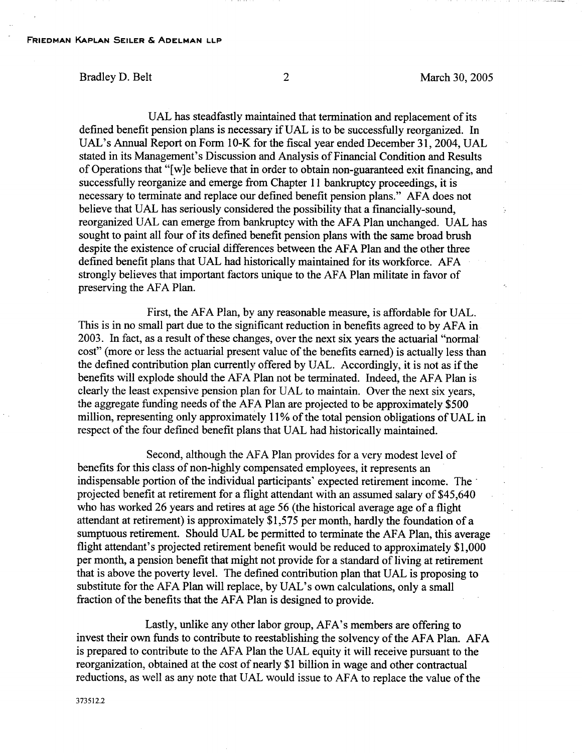UAL has steadfastly maintained that termination and replacement of its defined benefit pension plans is necessary if UAL is to be successfully reorganized. In UAL's Annual Report on Form 10-K for the fiscal year ended December 31, 2004, UAL stated in its Management's Discussion and Analysis of Financial Condition and Results of Operations that "[w]e believe that in order to obtain non-guaranteed exit financing, and successfully reorganize and emerge from Chapter 11 bankruptcy proceedings, it is necessary to terminate and replace our defined benefit pension plans." AFA does not believe that UAL has seriously considered the possibility that a financially-sound, reorganized UAL can emerge from bankruptcy with the AFA Plan unchanged. UAL has sought to paint all four of its defined benefit pension plans with the same broad brush despite the existence of crucial differences between the AFA Plan and the other three defined benefit plans that UAL had historically maintained for its workforce. AFA strongly believes that important factors unique to the AFA Plan militate in favor of preserving the AFA Plan.

First, the AFA Plan, by any reasonable measure, is affordable for UAL. This is in no small part due to the significant reduction in benefits agreed to by AFA in 2003. In fact, as a result of these changes, over the next six years the actuarial "normal" cost" (more or less the actuarial present value of the benefits earned) is actually less than the defined contribution plan currently offered by UAL. Accordingly, it is not as if the benefits will explode should the AFA Plan not be terminated. Indeed, the AFA Plan is. clearly the least expensive pension plan for UAL to maintain. Over the next six years, the aggregate funding needs of the AFA Plan are projected to be approximately \$500 million, representing only approximately 11% of the total pension obligations of UAL in respect of the four defined benefit plans that UAL had historically maintained.

Second, although the AFA Plan provides for <sup>a</sup> very modest level of benefits for this class of non-highly compensated employees, it represents an indispensable portion of the individual participants' expected retirement income. The projected benefit at retirement for a flight attendant with an assumed salary of \$45,640 who has worked 26 years and retires at age 56 (the historical average age of a flight attendant at retirement) is approximately \$1,575 per month, hardly the foundation of a sumptuous retirement. Should UAL be permitted to terminate the AFA Plan, this average flight attendant's projected retirement benefit would be reduced to approximately \$1,000 per month, a pension benefit that might not provide for a standard of living at retirement that is above the poverty level. The defined contribution plan that UAL is proposing to substitute for the AFA Plan will replace, by UAL's own calculations, only <sup>a</sup> small fraction of the benefits that the AFA Plan is designed to provide.

Lastly, unlike any other labor group, AFA's members are offering to invest their own funds to contribute to reestablishing the solvency of the AFA Plan. AFA is prepared to contribute to the AFA Plan the UAL equity it will receive pursuant to the reorganization, obtained at the cost of nearly \$1 billion in wage and other contractual reductions, as well as any note that UAL would issue to AFA to replace the value of the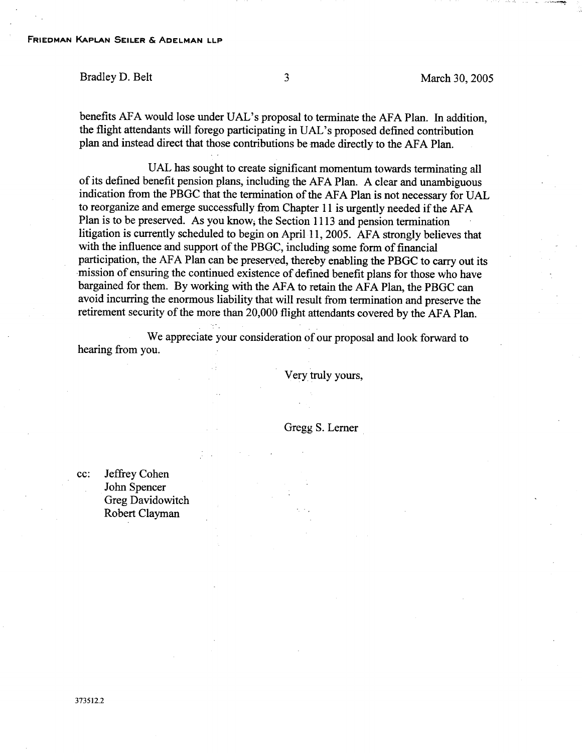Bradley D. Belt 30, 2005

benefits AFA would lose under UAL's proposal to terminate the AFA Plan. In addition, the flight attendants will forego participating in UAL's proposed defined contribution plan and instead direct that those contributions be made directly to the AFA Plan.

UAL has sought to create significant momentum towards terminating all of its defined benefit pension plans, including the AFA Plan. A clear and unambiguous indication from the PBGC that the termination of the AFA Plan is not necessary for UAL to reorganize and emerge successfully from Chapter <sup>11</sup> is urgently needed if the AFA Plan is to be preserved. As you know, the Section 1113 and pension termination litigation is currently scheduled to begin on April 11, 2005. AFA strongly believes that with the influence and support of the PBGC, including some form of financial participation, the AFA Plan can be preserved, thereby enabling the PBGC to carry out its mission of ensuring the continued existence of defined benefit plans for those who have bargained for them. By working with the AFA to retain the AFA Plan, the PBGC can avoid incurring the enormous liability that will result from termination and preserve the retirement security of the more than 20,000 flight attendants covered by the AFA Plan.

We appreciate your consideration of our proposal and look forward to hearing from you.

Very truly yours,

Gregg S. Lerner

cc: Jeffrey Cohen John Spencer Greg Davidowitch Robert Clayman

373512.2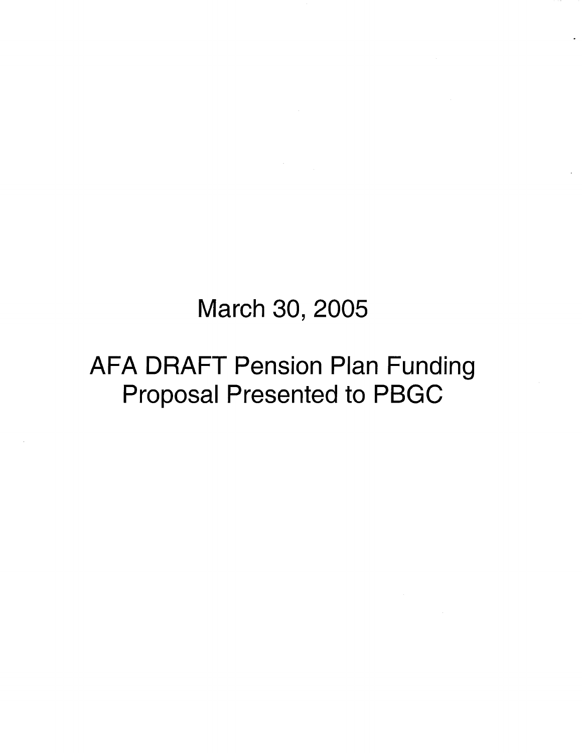# March 30, 2005

# AFA DRAFT Pension Plan Funding Proposal Presented to PBGC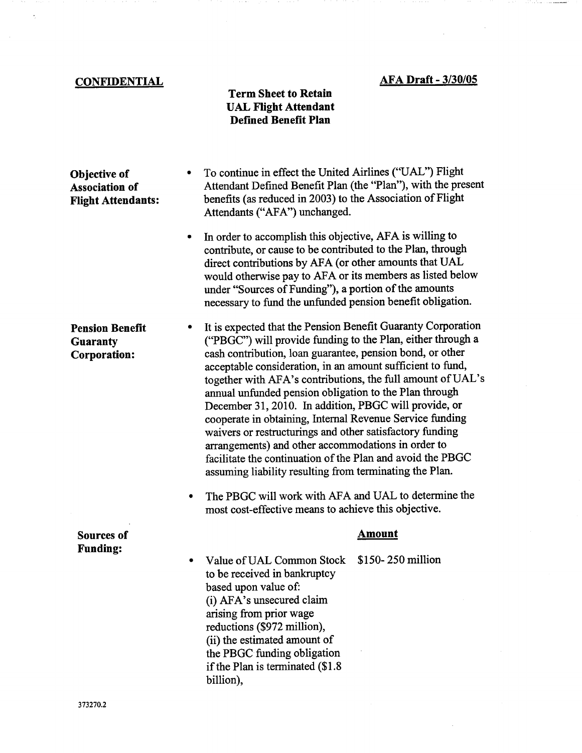## AFA Draft - 3/30/05

سيست متكتب كال

## **CONFIDENTIAL**

 $\frac{1}{2}$ 

### Term Sheet to Retain UAL Flight Attendant Defined Benefit Plan

| Objective of<br><b>Association of</b><br><b>Flight Attendants:</b> | To continue in effect the United Airlines ("UAL") Flight<br>Attendant Defined Benefit Plan (the "Plan"), with the present<br>benefits (as reduced in 2003) to the Association of Flight<br>Attendants ("AFA") unchanged.                                                                                                                                                                                                                                                                                                                                                                                                                                                                                                                        |
|--------------------------------------------------------------------|-------------------------------------------------------------------------------------------------------------------------------------------------------------------------------------------------------------------------------------------------------------------------------------------------------------------------------------------------------------------------------------------------------------------------------------------------------------------------------------------------------------------------------------------------------------------------------------------------------------------------------------------------------------------------------------------------------------------------------------------------|
|                                                                    | In order to accomplish this objective, AFA is willing to<br>٠<br>contribute, or cause to be contributed to the Plan, through<br>direct contributions by AFA (or other amounts that UAL<br>would otherwise pay to AFA or its members as listed below<br>under "Sources of Funding"), a portion of the amounts<br>necessary to fund the unfunded pension benefit obligation.                                                                                                                                                                                                                                                                                                                                                                      |
| <b>Pension Benefit</b><br>Guaranty<br><b>Corporation:</b>          | It is expected that the Pension Benefit Guaranty Corporation<br>("PBGC") will provide funding to the Plan, either through a<br>cash contribution, loan guarantee, pension bond, or other<br>acceptable consideration, in an amount sufficient to fund,<br>together with AFA's contributions, the full amount of UAL's<br>annual unfunded pension obligation to the Plan through<br>December 31, 2010. In addition, PBGC will provide, or<br>cooperate in obtaining, Internal Revenue Service funding<br>waivers or restructurings and other satisfactory funding<br>arrangements) and other accommodations in order to<br>facilitate the continuation of the Plan and avoid the PBGC<br>assuming liability resulting from terminating the Plan. |
|                                                                    | The PBGC will work with AFA and UAL to determine the<br>٠<br>most cost-effective means to achieve this objective.                                                                                                                                                                                                                                                                                                                                                                                                                                                                                                                                                                                                                               |
| <b>Sources of</b>                                                  | <u>Amount</u>                                                                                                                                                                                                                                                                                                                                                                                                                                                                                                                                                                                                                                                                                                                                   |
| <b>Funding:</b>                                                    | \$150-250 million<br>Value of UAL Common Stock<br>to be received in bankruptcy<br>based upon value of:<br>(i) AFA's unsecured claim<br>arising from prior wage<br>reductions (\$972 million),<br>(ii) the estimated amount of<br>the PBGC funding obligation<br>if the Plan is terminated (\$1.8)<br>billion),                                                                                                                                                                                                                                                                                                                                                                                                                                  |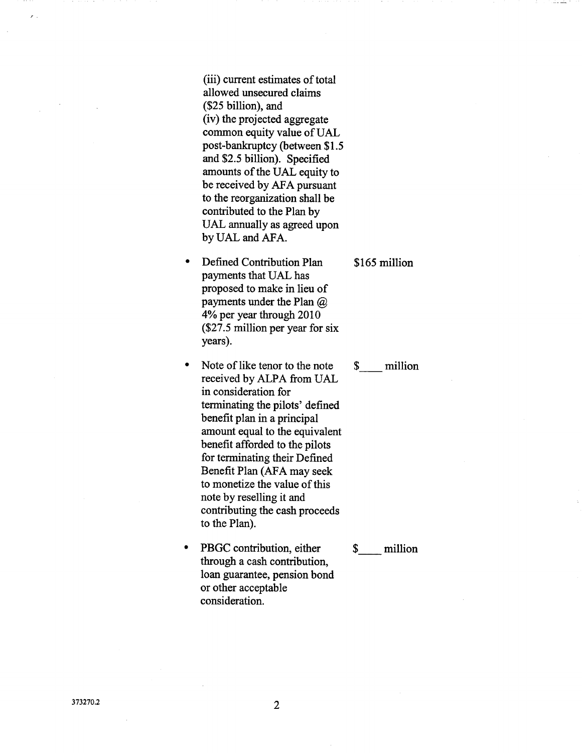(iii) current estimates of total allowed unsecured claims (\$25 billion), and (iv) the projected aggregate common equity value of UAL post-bankruptcy (between \$1.5 and \$2.5 billion). Specified amounts of the UAL equity to be received by AFA pursuant to the reorganization shall be contributed to the Plan by UAL annually as agreed upon by UAL and AFA.

- Defined Contribution Plan payments that UAL has proposed to make in lieu of payments under the Plan @ 4% per year through 2010 (\$27.5 million per year for six years).
- Note of like tenor to the note  $\bullet$ received by ALPA from UAL in consideration for terminating the pilots' defined benefit plan in a principal amount equal to the equivalent benefit afforded to the pilots for terminating their Defined Benefit Plan (AFA may seek to monetize the value of this note by reselling it and contributing the cash proceeds to the Plan).
- PBGC contribution, either  $\bullet$ through a cash contribution, loan guarantee, pension bond or other acceptable consideration.

#### \$ million

\$ million

### \$165 million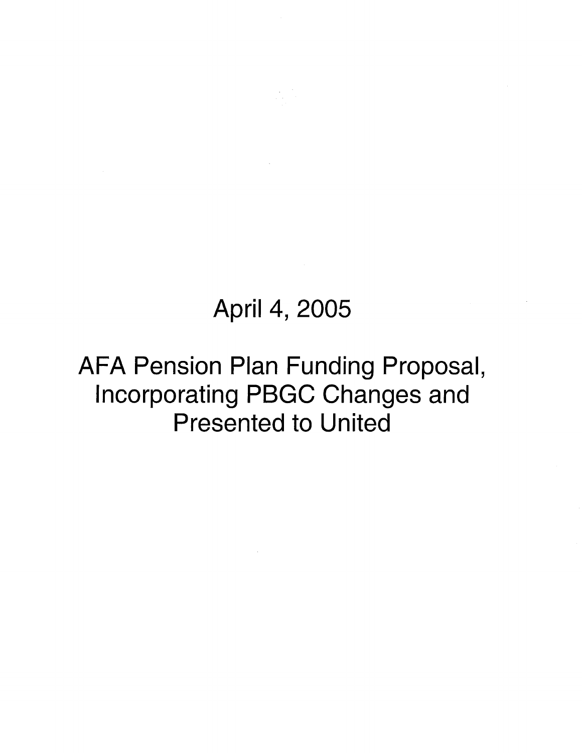# April 4, 2005

# AFA Pension Plan Funding Proposal, Incorporating PBGC Changes and Presented to United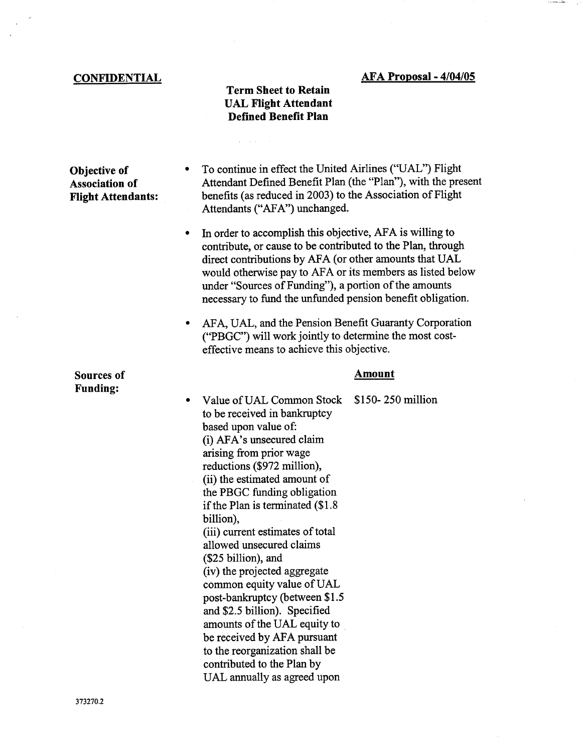#### **CONFIDENTIAL**

### Term Sheet to Retain UAL Flight Attendant Defined Benefit Plan

Objective of Association of Flight Attendants:

- To continue in effect the United Airlines ("UAL") Flight Attendant Defined Benefit Plan (the "Plan"), with the present benefits (as reduced in 2003) to the Association of Flight Attendants ("AFA") unchanged.
- In order to accomplish this objective, AFA is willing to  $\bullet$ contribute, or cause to be contributed to the Plan, through direct contributions by AFA (or other amounts that UAL would otherwise pay to AFA or its members as listed below under "Sources of Funding"), a portion of the amounts necessary to fund the unfunded pension benefit obligation.
- AFA, UAL, and the Pension Benefit Guaranty Corporation ("PBGC") will work jointly to determine the most costeffective means to achieve this objective.

#### Amount

\$150- 250 million Value of UAL Common Stock  $\bullet$ to be received in bankruptcy based upon value of: (i) AFA's unsecured claim arising from prior wage reductions (\$972 million), (ii) the estimated amount of the PBGC funding obligation if the Plan is terminated (\$1.8 billion), (iii) current estimates of total allowed unsecured claims (\$25 billion), and (iv) the projected aggregate common equity value of UAL post-bankruptcy (between \$1.5 and \$2.5 billion). Specified amounts of the UAL equity to be received by AFA pursuant to the reorganization shall be contributed to the Plan by UAL annually as agreed upon

Sources of Funding: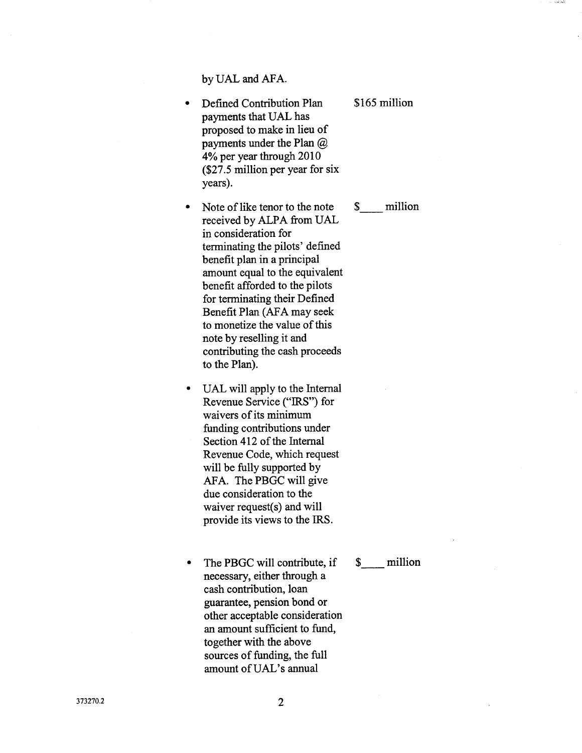by UAL and AFA.

- Defined Contribution Plan payments that UAL has proposed to make in lieu of payments under the Plan @ 4% per year through 2010 (\$27.5 million per year for six years).
- Note of like tenor to the note  $\bullet$ received by ALPA from UAL in consideration for terminating the pilots' defined benefit plan in a principal amount equal to the equivalent benefit afforded to the pilots for terminating their Defined Benefit Plan (AFA may seek to monetize the value of this note by reselling it and contributing the cash proceeds to the Plan).
- UAL will apply to the Intemal Revenue Service ("IRS") for waivers of its minimum funding contributions under Section 412 of the Internal Revenue Code, which request will be fully supported by AFA. The PBGC will give due consideration to the waiver request(s) and will provide its views to the IRS.
- The PBGC will contribute, if necessary, either through a cash contribution, loan guarantee, pension bond or other acceptable consideration an amount sufficient to fund, together with the above sources of funding, the full amount ofUAL's annual

### \$165 million

\$ million

\$ million